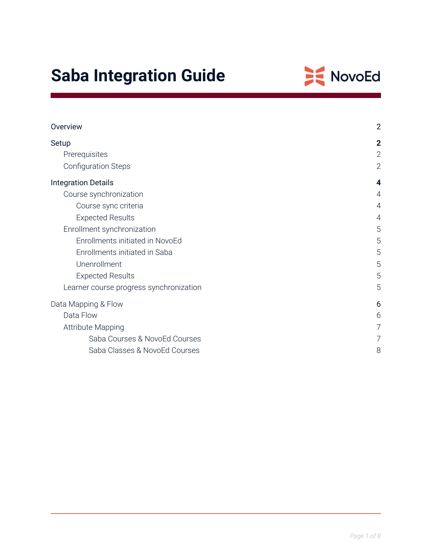# **Saba Integration Guide**



| Overview                                | $\overline{2}$ |
|-----------------------------------------|----------------|
| Setup                                   | $\mathbf{2}$   |
| Prerequisites                           | $\mathbf{2}$   |
| <b>Configuration Steps</b>              | $\overline{2}$ |
| <b>Integration Details</b>              | 4              |
| Course synchronization                  | 4              |
| Course sync criteria                    | $\overline{4}$ |
| <b>Expected Results</b>                 | 4              |
| Enrollment synchronization              | 5              |
| Enrollments initiated in NovoEd         | 5              |
| Enrollments initiated in Saba           | 5              |
| Unenrollment                            | 5              |
| <b>Expected Results</b>                 | 5              |
| Learner course progress synchronization | 5              |
| Data Mapping & Flow                     | 6              |
| Data Flow                               | 6              |
| <b>Attribute Mapping</b>                | 7              |
| Saba Courses & NovoEd Courses           | 7              |
| Saba Classes & NovoEd Courses           | 8              |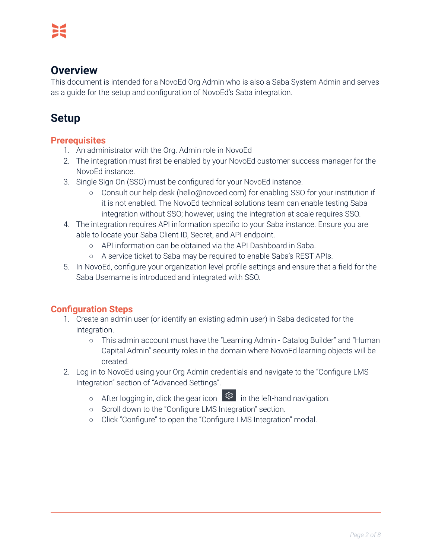# <span id="page-1-0"></span>**Overview**

This document is intended for a NovoEd Org Admin who is also a Saba System Admin and serves as a guide for the setup and configuration of NovoEd's Saba integration.

# <span id="page-1-1"></span>**Setup**

# <span id="page-1-2"></span>**Prerequisites**

- 1. An administrator with the Org. Admin role in NovoEd
- 2. The integration must first be enabled by your NovoEd customer success manager for the NovoEd instance.
- 3. Single Sign On (SSO) must be configured for your NovoEd instance.
	- Consult our help desk (hello@novoed.com) for enabling SSO for your institution if it is not enabled. The NovoEd technical solutions team can enable testing Saba integration without SSO; however, using the integration at scale requires SSO.
- 4. The integration requires API information specific to your Saba instance. Ensure you are able to locate your Saba Client ID, Secret, and API endpoint.
	- API information can be obtained via the API Dashboard in Saba.
	- A service ticket to Saba may be required to enable Saba's REST APIs.
- 5. In NovoEd, configure your organization level profile settings and ensure that a field for the Saba Username is introduced and integrated with SSO.

# <span id="page-1-3"></span>**Configuration Steps**

- 1. Create an admin user (or identify an existing admin user) in Saba dedicated for the integration.
	- This admin account must have the "Learning Admin Catalog Builder" and "Human Capital Admin" security roles in the domain where NovoEd learning objects will be created.
- 2. Log in to NovoEd using your Org Admin credentials and navigate to the "Configure LMS Integration" section of "Advanced Settings".
	- o After logging in, click the gear icon  $\left[\frac{1}{2}S\right]$  in the left-hand navigation.
	- Scroll down to the "Configure LMS Integration" section.
	- Click "Configure" to open the "Configure LMS Integration" modal.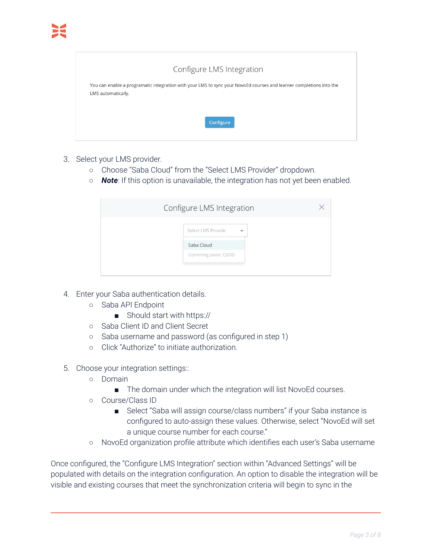### Configure LMS Integration

You can enable a programatic integration with your LMS to sync your NovoEd courses and learner completions into the LMS automatically.

Configure

|  | 3. Select your LMS provider. |  |
|--|------------------------------|--|

- Choose "Saba Cloud" from the "Select LMS Provider" dropdown.
- *Note*: If this option is unavailable, the integration has not yet been enabled.

| Configure LMS Integration                      |  |
|------------------------------------------------|--|
| Select LMS Provide<br>$\overline{\phantom{a}}$ |  |
| Saba Cloud<br>Comming soon: CSOD               |  |
|                                                |  |

- 4. Enter your Saba authentication details.
	- Saba API Endpoint
		- Should start with https://
	- Saba Client ID and Client Secret
	- Saba username and password (as configured in step 1)
	- Click "Authorize" to initiate authorization.
- 5. Choose your integration settings::
	- Domain
		- The domain under which the integration will list NovoEd courses.
	- Course/Class ID
		- Select "Saba will assign course/class numbers" if your Saba instance is configured to auto-assign these values. Otherwise, select "NovoEd will set a unique course number for each course."
	- NovoEd organization profile attribute which identifies each user's Saba username

Once configured, the "Configure LMS Integration" section within "Advanced Settings" will be populated with details on the integration configuration. An option to disable the integration will be visible and existing courses that meet the synchronization criteria will begin to sync in the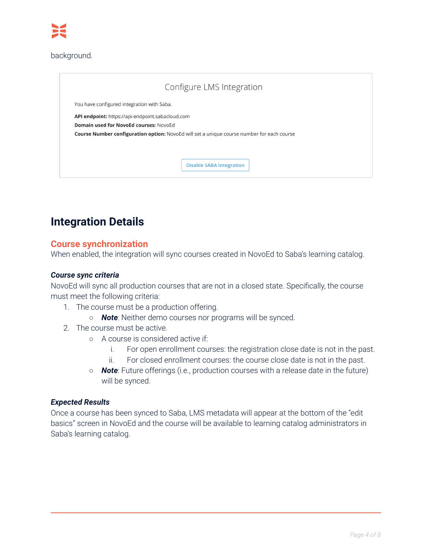#### background.

|                                                  | Configure LMS Integration                                                                  |
|--------------------------------------------------|--------------------------------------------------------------------------------------------|
| You have configured integration with Saba.       |                                                                                            |
| API endpoint: https://api-endpoint.sabacloud.com |                                                                                            |
| Domain used for NovoEd courses: NovoEd           | Course Number configuration option: NovoEd will set a unique course number for each course |
|                                                  |                                                                                            |
|                                                  |                                                                                            |
|                                                  | <b>Disable SABA Integration</b>                                                            |
|                                                  |                                                                                            |

# <span id="page-3-0"></span>**Integration Details**

#### <span id="page-3-1"></span>**Course synchronization**

When enabled, the integration will sync courses created in NovoEd to Saba's learning catalog.

#### <span id="page-3-2"></span>*Course sync criteria*

NovoEd will sync all production courses that are not in a closed state. Specifically, the course must meet the following criteria:

- 1. The course must be a production offering.
	- *Note*: Neither demo courses nor programs will be synced.
- 2. The course must be active.
	- A course is considered active if:
		- i. For open enrollment courses: the registration close date is not in the past.
		- ii. For closed enrollment courses: the course close date is not in the past.
	- *○ Note*: Future offerings (i.e., production courses with a release date in the future) will be synced.

#### <span id="page-3-3"></span>*Expected Results*

Once a course has been synced to Saba, LMS metadata will appear at the bottom of the "edit basics" screen in NovoEd and the course will be available to learning catalog administrators in Saba's learning catalog.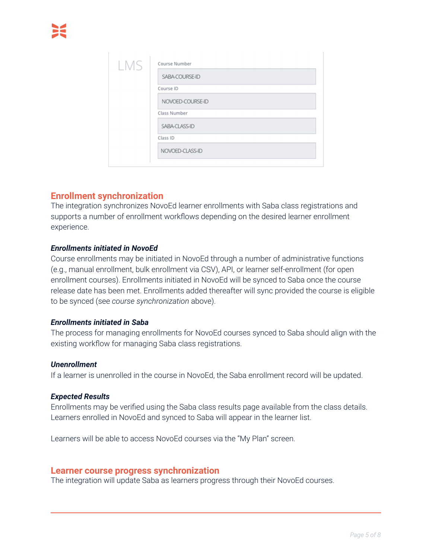| LMS |                  |
|-----|------------------|
|     | SABA-COURSE-ID   |
|     | Course ID        |
|     | NOVOED-COURSE-ID |
|     | Class Number     |
|     | SABA-CLASS-ID    |
|     | Class ID         |
|     | NOVOED-CLASS-ID  |

### <span id="page-4-0"></span>**Enrollment synchronization**

The integration synchronizes NovoEd learner enrollments with Saba class registrations and supports a number of enrollment workflows depending on the desired learner enrollment experience.

#### <span id="page-4-1"></span>*Enrollments initiated in NovoEd*

Course enrollments may be initiated in NovoEd through a number of administrative functions (e.g., manual enrollment, bulk enrollment via CSV), API, or learner self-enrollment (for open enrollment courses). Enrollments initiated in NovoEd will be synced to Saba once the course release date has been met. Enrollments added thereafter will sync provided the course is eligible to be synced (see *course synchronization* above).

#### <span id="page-4-2"></span>*Enrollments initiated in Saba*

The process for managing enrollments for NovoEd courses synced to Saba should align with the existing workflow for managing Saba class registrations.

#### <span id="page-4-3"></span>*Unenrollment*

If a learner is unenrolled in the course in NovoEd, the Saba enrollment record will be updated.

#### <span id="page-4-4"></span>*Expected Results*

Enrollments may be verified using the Saba class results page available from the class details. Learners enrolled in NovoEd and synced to Saba will appear in the learner list.

Learners will be able to access NovoEd courses via the "My Plan" screen.

#### <span id="page-4-5"></span>**Learner course progress synchronization**

The integration will update Saba as learners progress through their NovoEd courses.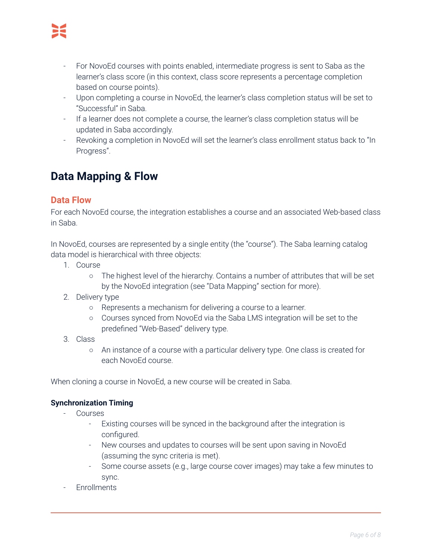- For NovoEd courses with points enabled, intermediate progress is sent to Saba as the learner's class score (in this context, class score represents a percentage completion based on course points).
- Upon completing a course in NovoEd, the learner's class completion status will be set to "Successful" in Saba.
- If a learner does not complete a course, the learner's class completion status will be updated in Saba accordingly.
- Revoking a completion in NovoEd will set the learner's class enrollment status back to "In Progress".

# <span id="page-5-0"></span>**Data Mapping & Flow**

## <span id="page-5-1"></span>**Data Flow**

For each NovoEd course, the integration establishes a course and an associated Web-based class in Saba.

In NovoEd, courses are represented by a single entity (the "course"). The Saba learning catalog data model is hierarchical with three objects:

- 1. Course
	- The highest level of the hierarchy. Contains a number of attributes that will be set by the NovoEd integration (see "Data Mapping" section for more).
- 2. Delivery type
	- Represents a mechanism for delivering a course to a learner.
	- Courses synced from NovoEd via the Saba LMS integration will be set to the predefined "Web-Based" delivery type.
- 3. Class
	- An instance of a course with a particular delivery type. One class is created for each NovoEd course.

When cloning a course in NovoEd, a new course will be created in Saba.

### **Synchronization Timing**

- **Courses** 
	- Existing courses will be synced in the background after the integration is configured.
	- New courses and updates to courses will be sent upon saving in NovoEd (assuming the sync criteria is met).
	- Some course assets (e.g., large course cover images) may take a few minutes to sync.
- **Fnrollments**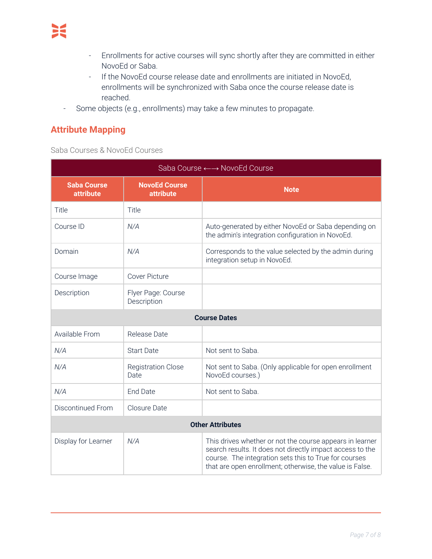- Enrollments for active courses will sync shortly after they are committed in either NovoEd or Saba.
- If the NovoEd course release date and enrollments are initiated in NovoEd, enrollments will be synchronized with Saba once the course release date is reached.
- Some objects (e.g., enrollments) may take a few minutes to propagate.

# <span id="page-6-0"></span>**Attribute Mapping**

<span id="page-6-1"></span>Saba Courses & NovoEd Courses

| Saba Course ←→ NovoEd Course           |                                          |                                                                                                                                                                                                                                            |
|----------------------------------------|------------------------------------------|--------------------------------------------------------------------------------------------------------------------------------------------------------------------------------------------------------------------------------------------|
| <b>Saba Course</b><br><b>attribute</b> | <b>NovoEd Course</b><br><b>attribute</b> | <b>Note</b>                                                                                                                                                                                                                                |
| Title                                  | Title                                    |                                                                                                                                                                                                                                            |
| Course ID                              | N/A                                      | Auto-generated by either NovoEd or Saba depending on<br>the admin's integration configuration in NovoEd.                                                                                                                                   |
| Domain                                 | N/A                                      | Corresponds to the value selected by the admin during<br>integration setup in NovoEd.                                                                                                                                                      |
| Course Image                           | <b>Cover Picture</b>                     |                                                                                                                                                                                                                                            |
| Description                            | Flyer Page: Course<br>Description        |                                                                                                                                                                                                                                            |
| <b>Course Dates</b>                    |                                          |                                                                                                                                                                                                                                            |
| Available From                         | Release Date                             |                                                                                                                                                                                                                                            |
| N/A                                    | <b>Start Date</b>                        | Not sent to Saba.                                                                                                                                                                                                                          |
| N/A                                    | <b>Registration Close</b><br>Date        | Not sent to Saba. (Only applicable for open enrollment<br>NovoEd courses.)                                                                                                                                                                 |
| N/A                                    | <b>End Date</b>                          | Not sent to Saba.                                                                                                                                                                                                                          |
| <b>Discontinued From</b>               | Closure Date                             |                                                                                                                                                                                                                                            |
| <b>Other Attributes</b>                |                                          |                                                                                                                                                                                                                                            |
| Display for Learner                    | N/A                                      | This drives whether or not the course appears in learner<br>search results. It does not directly impact access to the<br>course. The integration sets this to True for courses<br>that are open enrollment; otherwise, the value is False. |